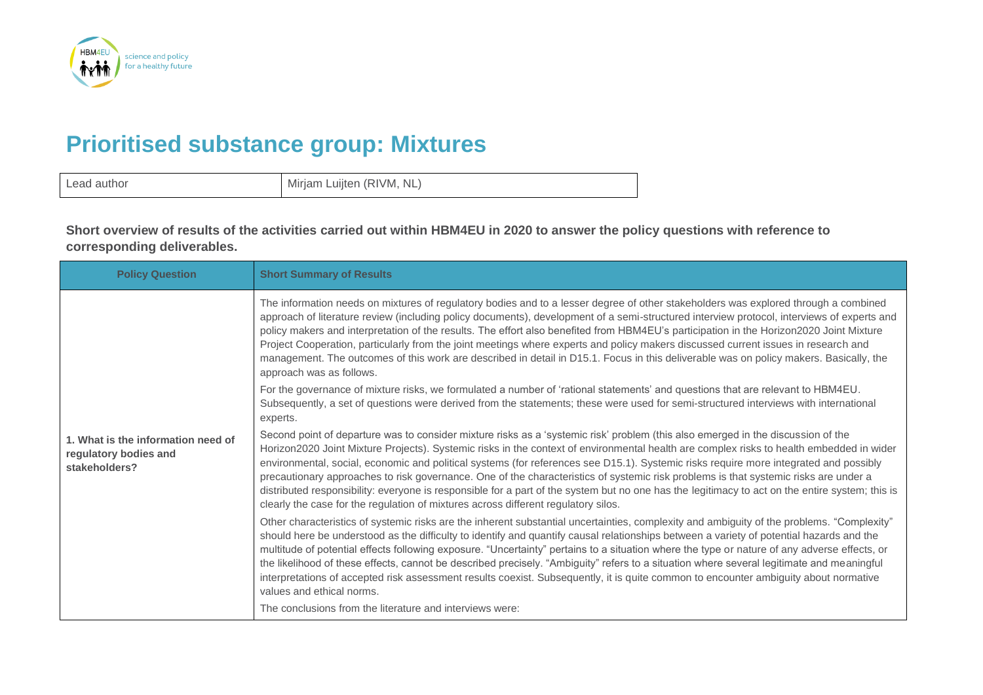

## **Prioritised substance group: Mixtures**

| Lead author | Mirjam Luijten (RIVM, NL) |
|-------------|---------------------------|
|-------------|---------------------------|

**Short overview of results of the activities carried out within HBM4EU in 2020 to answer the policy questions with reference to corresponding deliverables.**

| <b>Policy Question</b>                                                       | <b>Short Summary of Results</b>                                                                                                                                                                                                                                                                                                                                                                                                                                                                                                                                                                                                                                                                                                                                                                        |
|------------------------------------------------------------------------------|--------------------------------------------------------------------------------------------------------------------------------------------------------------------------------------------------------------------------------------------------------------------------------------------------------------------------------------------------------------------------------------------------------------------------------------------------------------------------------------------------------------------------------------------------------------------------------------------------------------------------------------------------------------------------------------------------------------------------------------------------------------------------------------------------------|
|                                                                              | The information needs on mixtures of regulatory bodies and to a lesser degree of other stakeholders was explored through a combined<br>approach of literature review (including policy documents), development of a semi-structured interview protocol, interviews of experts and<br>policy makers and interpretation of the results. The effort also benefited from HBM4EU's participation in the Horizon2020 Joint Mixture<br>Project Cooperation, particularly from the joint meetings where experts and policy makers discussed current issues in research and<br>management. The outcomes of this work are described in detail in D15.1. Focus in this deliverable was on policy makers. Basically, the<br>approach was as follows.                                                               |
|                                                                              | For the governance of mixture risks, we formulated a number of 'rational statements' and questions that are relevant to HBM4EU.<br>Subsequently, a set of questions were derived from the statements; these were used for semi-structured interviews with international<br>experts.                                                                                                                                                                                                                                                                                                                                                                                                                                                                                                                    |
| 1. What is the information need of<br>regulatory bodies and<br>stakeholders? | Second point of departure was to consider mixture risks as a 'systemic risk' problem (this also emerged in the discussion of the<br>Horizon2020 Joint Mixture Projects). Systemic risks in the context of environmental health are complex risks to health embedded in wider<br>environmental, social, economic and political systems (for references see D15.1). Systemic risks require more integrated and possibly<br>precautionary approaches to risk governance. One of the characteristics of systemic risk problems is that systemic risks are under a<br>distributed responsibility: everyone is responsible for a part of the system but no one has the legitimacy to act on the entire system; this is<br>clearly the case for the regulation of mixtures across different regulatory silos. |
|                                                                              | Other characteristics of systemic risks are the inherent substantial uncertainties, complexity and ambiguity of the problems. "Complexity"<br>should here be understood as the difficulty to identify and quantify causal relationships between a variety of potential hazards and the<br>multitude of potential effects following exposure. "Uncertainty" pertains to a situation where the type or nature of any adverse effects, or<br>the likelihood of these effects, cannot be described precisely. "Ambiguity" refers to a situation where several legitimate and meaningful<br>interpretations of accepted risk assessment results coexist. Subsequently, it is quite common to encounter ambiguity about normative<br>values and ethical norms.                                               |
|                                                                              | The conclusions from the literature and interviews were:                                                                                                                                                                                                                                                                                                                                                                                                                                                                                                                                                                                                                                                                                                                                               |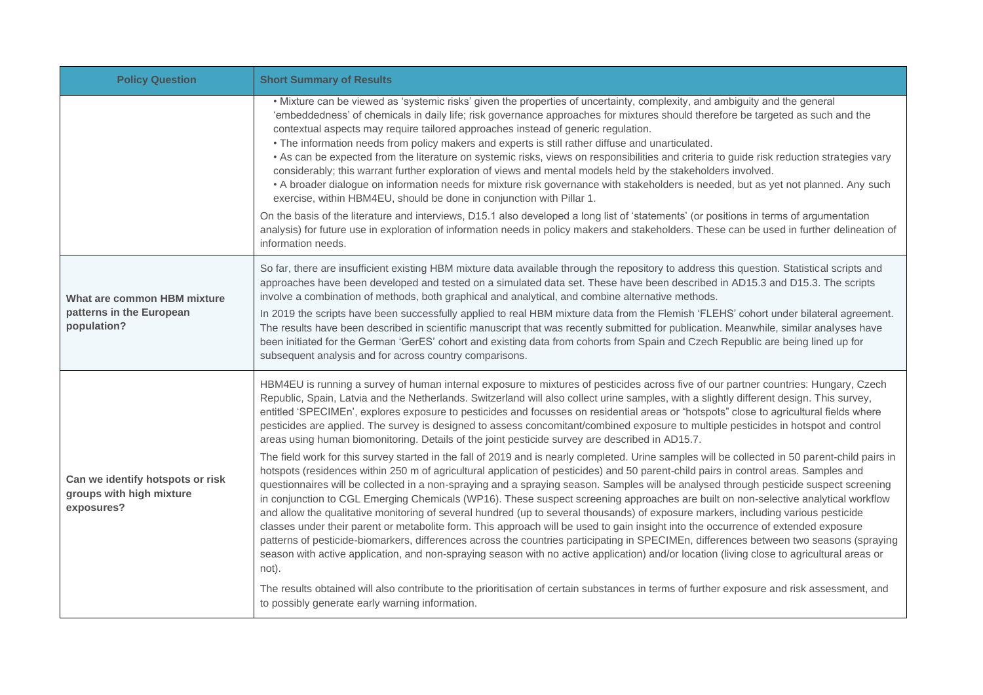| <b>Policy Question</b>                                                     | <b>Short Summary of Results</b>                                                                                                                                                                                                                                                                                                                                                                                                                                                                                                                                                                                                                                                                                                                                                                                                                                                                                                                                                                                                                                                                                                                                                                                                 |
|----------------------------------------------------------------------------|---------------------------------------------------------------------------------------------------------------------------------------------------------------------------------------------------------------------------------------------------------------------------------------------------------------------------------------------------------------------------------------------------------------------------------------------------------------------------------------------------------------------------------------------------------------------------------------------------------------------------------------------------------------------------------------------------------------------------------------------------------------------------------------------------------------------------------------------------------------------------------------------------------------------------------------------------------------------------------------------------------------------------------------------------------------------------------------------------------------------------------------------------------------------------------------------------------------------------------|
|                                                                            | . Mixture can be viewed as 'systemic risks' given the properties of uncertainty, complexity, and ambiguity and the general<br>'embeddedness' of chemicals in daily life; risk governance approaches for mixtures should therefore be targeted as such and the<br>contextual aspects may require tailored approaches instead of generic regulation.<br>• The information needs from policy makers and experts is still rather diffuse and unarticulated.<br>• As can be expected from the literature on systemic risks, views on responsibilities and criteria to guide risk reduction strategies vary<br>considerably; this warrant further exploration of views and mental models held by the stakeholders involved.<br>• A broader dialogue on information needs for mixture risk governance with stakeholders is needed, but as yet not planned. Any such<br>exercise, within HBM4EU, should be done in conjunction with Pillar 1.<br>On the basis of the literature and interviews, D15.1 also developed a long list of 'statements' (or positions in terms of argumentation<br>analysis) for future use in exploration of information needs in policy makers and stakeholders. These can be used in further delineation of |
|                                                                            | information needs.                                                                                                                                                                                                                                                                                                                                                                                                                                                                                                                                                                                                                                                                                                                                                                                                                                                                                                                                                                                                                                                                                                                                                                                                              |
| What are common HBM mixture<br>patterns in the European<br>population?     | So far, there are insufficient existing HBM mixture data available through the repository to address this question. Statistical scripts and<br>approaches have been developed and tested on a simulated data set. These have been described in AD15.3 and D15.3. The scripts<br>involve a combination of methods, both graphical and analytical, and combine alternative methods.<br>In 2019 the scripts have been successfully applied to real HBM mixture data from the Flemish 'FLEHS' cohort under bilateral agreement.                                                                                                                                                                                                                                                                                                                                                                                                                                                                                                                                                                                                                                                                                                     |
|                                                                            | The results have been described in scientific manuscript that was recently submitted for publication. Meanwhile, similar analyses have<br>been initiated for the German 'GerES' cohort and existing data from cohorts from Spain and Czech Republic are being lined up for<br>subsequent analysis and for across country comparisons.                                                                                                                                                                                                                                                                                                                                                                                                                                                                                                                                                                                                                                                                                                                                                                                                                                                                                           |
| Can we identify hotspots or risk<br>groups with high mixture<br>exposures? | HBM4EU is running a survey of human internal exposure to mixtures of pesticides across five of our partner countries: Hungary, Czech<br>Republic, Spain, Latvia and the Netherlands. Switzerland will also collect urine samples, with a slightly different design. This survey,<br>entitled 'SPECIMEn', explores exposure to pesticides and focusses on residential areas or "hotspots" close to agricultural fields where<br>pesticides are applied. The survey is designed to assess concomitant/combined exposure to multiple pesticides in hotspot and control<br>areas using human biomonitoring. Details of the joint pesticide survey are described in AD15.7.                                                                                                                                                                                                                                                                                                                                                                                                                                                                                                                                                          |
|                                                                            | The field work for this survey started in the fall of 2019 and is nearly completed. Urine samples will be collected in 50 parent-child pairs in<br>hotspots (residences within 250 m of agricultural application of pesticides) and 50 parent-child pairs in control areas. Samples and<br>questionnaires will be collected in a non-spraying and a spraying season. Samples will be analysed through pesticide suspect screening<br>in conjunction to CGL Emerging Chemicals (WP16). These suspect screening approaches are built on non-selective analytical workflow<br>and allow the qualitative monitoring of several hundred (up to several thousands) of exposure markers, including various pesticide<br>classes under their parent or metabolite form. This approach will be used to gain insight into the occurrence of extended exposure<br>patterns of pesticide-biomarkers, differences across the countries participating in SPECIMEn, differences between two seasons (spraying<br>season with active application, and non-spraying season with no active application) and/or location (living close to agricultural areas or<br>not).                                                                           |
|                                                                            | The results obtained will also contribute to the prioritisation of certain substances in terms of further exposure and risk assessment, and<br>to possibly generate early warning information.                                                                                                                                                                                                                                                                                                                                                                                                                                                                                                                                                                                                                                                                                                                                                                                                                                                                                                                                                                                                                                  |